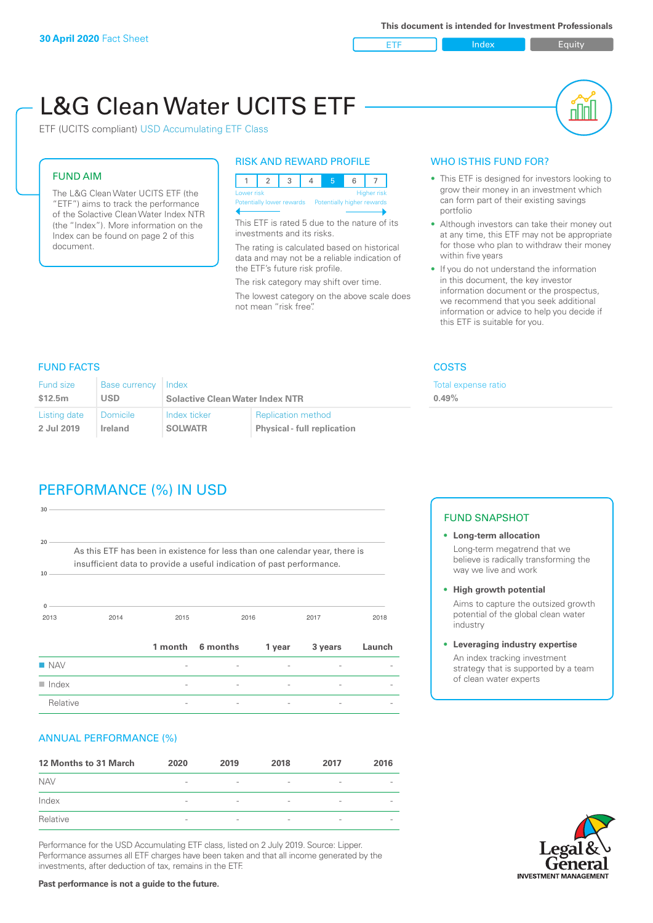ETF Index Builty

# L&G Clean Water UCITS ETF

ETF (UCITS compliant) USD Accumulating ETF Class

### FUND AIM

The L&G Clean Water UCITS ETF (the "ETF") aims to track the performance of the Solactive Clean Water Index NTR (the "Index"). More information on the Index can be found on page 2 of this document.

#### RISK AND REWARD PROFILE

|  | Lower risk<br><b>Higher risk</b> |  |  |  |  |  |                                                      |  |  |
|--|----------------------------------|--|--|--|--|--|------------------------------------------------------|--|--|
|  |                                  |  |  |  |  |  | Potentially lower rewards Potentially higher rewards |  |  |
|  |                                  |  |  |  |  |  |                                                      |  |  |

This ETF is rated 5 due to the nature of its investments and its risks.

The rating is calculated based on historical data and may not be a reliable indication of the ETF's future risk profile.

The risk category may shift over time. The lowest category on the above scale does not mean "risk free".

#### WHO IS THIS FUND FOR?

- This ETF is designed for investors looking to grow their money in an investment which can form part of their existing savings portfolio
- Although investors can take their money out at any time, this ETF may not be appropriate for those who plan to withdraw their money within five years
- If you do not understand the information in this document, the key investor information document or the prospectus, we recommend that you seek additional information or advice to help you decide if this ETF is suitable for you.

xpense ratio

#### FUND FACTS COSTS

| <b>Fund size</b> | Base currency | Index                                  |                                    | Total e: |
|------------------|---------------|----------------------------------------|------------------------------------|----------|
| \$12.5m          | <b>USD</b>    | <b>Solactive Clean Water Index NTR</b> | 0.49%                              |          |
| Listing date     | Domicile      | Index ticker                           | <b>Replication method</b>          |          |
| 2 Jul 2019       | Ireland       | <b>SOLWATR</b>                         | <b>Physical - full replication</b> |          |

# PERFORMANCE (%) IN USD

| $30 -$               |                                                                                                                                                      |         |          |        |         |        |
|----------------------|------------------------------------------------------------------------------------------------------------------------------------------------------|---------|----------|--------|---------|--------|
| $20 -$<br>10         | As this ETF has been in existence for less than one calendar year, there is<br>insufficient data to provide a useful indication of past performance. |         |          |        |         |        |
|                      |                                                                                                                                                      |         |          |        |         |        |
| $\Omega$<br>2013     | 2014                                                                                                                                                 | 2015    |          | 2016   | 2017    | 2018   |
|                      |                                                                                                                                                      | 1 month | 6 months | 1 year | 3 years | Launch |
| <b>NAV</b>           |                                                                                                                                                      |         |          |        |         |        |
| $\blacksquare$ Index |                                                                                                                                                      |         |          |        |         |        |
| Relative             |                                                                                                                                                      |         |          |        |         |        |

#### ANNUAL PERFORMANCE (%)

| 12 Months to 31 March | 2020                     | 2019                     | 2018                     | 2017                     | 2016                     |
|-----------------------|--------------------------|--------------------------|--------------------------|--------------------------|--------------------------|
| <b>NAV</b>            | $\overline{\phantom{a}}$ | $\sim$                   | $\overline{\phantom{a}}$ | $\qquad \qquad$          | $\overline{\phantom{a}}$ |
| Index                 | $\qquad \qquad$          | $\qquad \qquad$          | $\overline{\phantom{a}}$ | $\qquad \qquad$          | $\overline{\phantom{a}}$ |
| Relative              | $\overline{\phantom{a}}$ | $\overline{\phantom{a}}$ | $\overline{\phantom{a}}$ | $\overline{\phantom{0}}$ | $\overline{\phantom{a}}$ |

Performance for the USD Accumulating ETF class, listed on 2 July 2019. Source: Lipper. Performance assumes all ETF charges have been taken and that all income generated by the investments, after deduction of tax, remains in the ETF.

#### FUND SNAPSHOT

- **• Long-term allocation** Long-term megatrend that we believe is radically transforming the way we live and work
- **• High growth potential**

Aims to capture the outsized growth potential of the global clean water industry

**• Leveraging industry expertise**

An index tracking investment strategy that is supported by a team of clean water experts

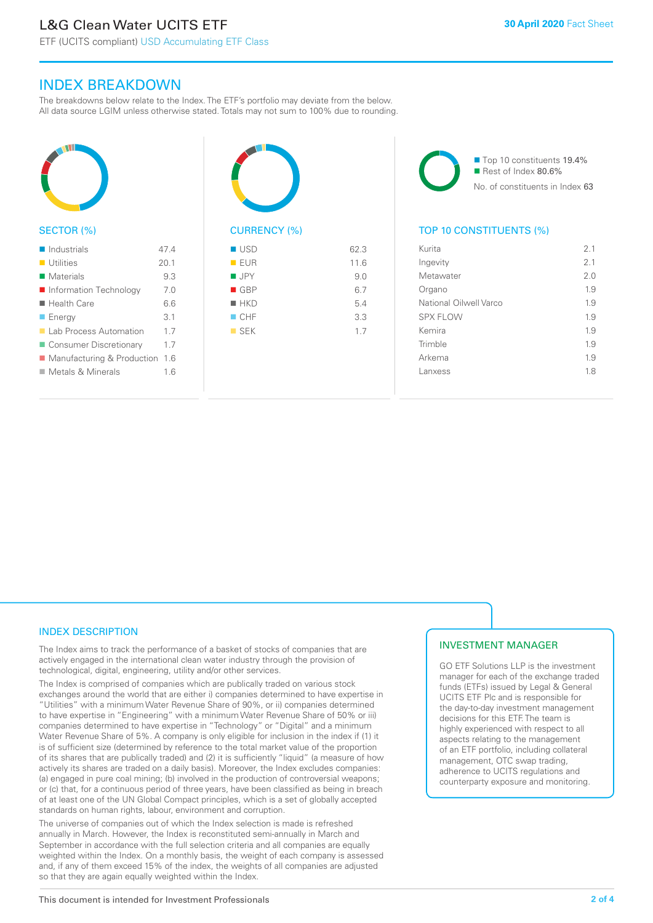ETF (UCITS compliant) USD Accumulating ETF Class

## INDEX BREAKDOWN

The breakdowns below relate to the Index. The ETF's portfolio may deviate from the below. All data source LGIM unless otherwise stated. Totals may not sum to 100% due to rounding.



#### SECTOR (%)

| $\blacksquare$ Industrials    | 47 4 |
|-------------------------------|------|
| <b>Utilities</b>              | 201  |
| Materials                     | 9.3  |
| Information Technology        | 70   |
| $\blacksquare$ Health Care    | 6.6  |
| $\blacksquare$ Energy         | 3.1  |
| <b>Lab Process Automation</b> | 17   |
| ■ Consumer Discretionary      | 1.7  |
| ■ Manufacturing & Production  | 1.6  |
| Metals & Minerals             | 16   |
|                               |      |



# $I \cup SD$  62.3 n EUR 11.6

| $\blacksquare$ JPY | 9.0 |
|--------------------|-----|
| GBP                | 6.7 |
| $H$ HKD            | 5.4 |
| $\Box$ CHF         | 3.3 |
| $\blacksquare$ SEK | 1.7 |
|                    |     |
|                    |     |

■ Top 10 constituents 19.4% Rest of Index 80.6% No. of constituents in Index 63

#### TOP 10 CONSTITUENTS (%)

| Kurita                 | 2.1 |
|------------------------|-----|
| Ingevity               | 2.1 |
| Metawater              | 2 O |
| Organo                 | 1.9 |
| National Oilwell Varco | 1.9 |
| <b>SPX FLOW</b>        | 1.9 |
| Kemira                 | 1.9 |
| Trimble                | 1.9 |
| Arkema                 | 1.9 |
| Lanxess                | 1.8 |
|                        |     |

#### INDEX DESCRIPTION

The Index aims to track the performance of a basket of stocks of companies that are actively engaged in the international clean water industry through the provision of technological, digital, engineering, utility and/or other services.

The Index is comprised of companies which are publically traded on various stock exchanges around the world that are either i) companies determined to have expertise in "Utilities" with a minimum Water Revenue Share of 90%, or ii) companies determined to have expertise in "Engineering" with a minimum Water Revenue Share of 50% or iii) companies determined to have expertise in "Technology" or "Digital" and a minimum Water Revenue Share of 5%. A company is only eligible for inclusion in the index if (1) it is of sufficient size (determined by reference to the total market value of the proportion of its shares that are publically traded) and (2) it is sufficiently "liquid" (a measure of how actively its shares are traded on a daily basis). Moreover, the Index excludes companies: (a) engaged in pure coal mining; (b) involved in the production of controversial weapons; or (c) that, for a continuous period of three years, have been classified as being in breach of at least one of the UN Global Compact principles, which is a set of globally accepted standards on human rights, labour, environment and corruption.

The universe of companies out of which the Index selection is made is refreshed annually in March. However, the Index is reconstituted semi-annually in March and September in accordance with the full selection criteria and all companies are equally weighted within the Index. On a monthly basis, the weight of each company is assessed and, if any of them exceed 15% of the index, the weights of all companies are adjusted so that they are again equally weighted within the Index.

#### INVESTMENT MANAGER

GO ETF Solutions LLP is the investment manager for each of the exchange traded funds (ETFs) issued by Legal & General UCITS ETF Plc and is responsible for the day-to-day investment management decisions for this ETF. The team is highly experienced with respect to all aspects relating to the management of an ETF portfolio, including collateral management, OTC swap trading, adherence to UCITS regulations and counterparty exposure and monitoring.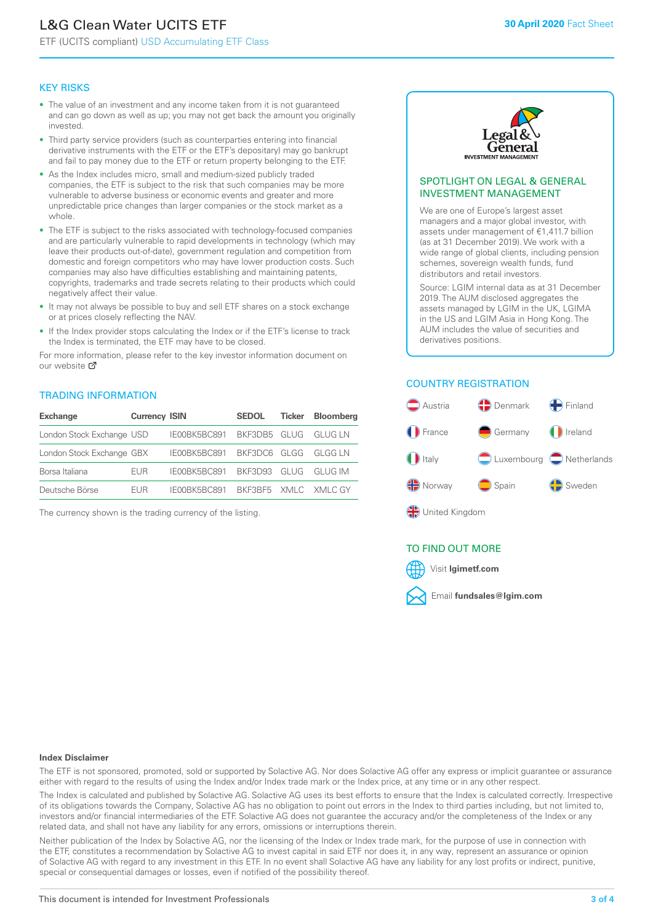# L&G Clean Water UCITS ETF

ETF (UCITS compliant) USD Accumulating ETF Class

#### KEY RISKS

- The value of an investment and any income taken from it is not guaranteed and can go down as well as up; you may not get back the amount you originally invested.
- Third party service providers (such as counterparties entering into financial derivative instruments with the ETF or the ETF's depositary) may go bankrupt and fail to pay money due to the ETF or return property belonging to the ETF.
- As the Index includes micro, small and medium-sized publicly traded companies, the ETF is subject to the risk that such companies may be more vulnerable to adverse business or economic events and greater and more unpredictable price changes than larger companies or the stock market as a whole.
- The ETF is subject to the risks associated with technology-focused companies and are particularly vulnerable to rapid developments in technology (which may leave their products out-of-date), government regulation and competition from domestic and foreign competitors who may have lower production costs. Such companies may also have difficulties establishing and maintaining patents, copyrights, trademarks and trade secrets relating to their products which could negatively affect their value.
- It may not always be possible to buy and sell ETF shares on a stock exchange or at prices closely reflecting the NAV.
- If the Index provider stops calculating the Index or if the ETF's license to track the Index is terminated, the ETF may have to be closed.

For more information, please refer to the key investor information document on our website Ø

#### TRADING INFORMATION

| <b>Exchange</b>           | <b>Currency ISIN</b> |                                   | <b>SEDOL</b>        | Ticker | <b>Bloomberg</b> |
|---------------------------|----------------------|-----------------------------------|---------------------|--------|------------------|
| London Stock Exchange USD |                      | IE00BK5BC891 BKF3DB5 GLUG GLUG LN |                     |        |                  |
| London Stock Exchange GBX |                      | IE00BK5BC891 BKF3DC6 GLGG GLGG LN |                     |        |                  |
| Borsa Italiana            | <b>FUR</b>           | IE00BK5BC891 BKF3D93 GLUG GLUG IM |                     |        |                  |
| Deutsche Börse            | FUR.                 | IFOOBK5BC891                      | BKE3BE5 XMLC XMLCGY |        |                  |

The currency shown is the trading currency of the listing.



#### SPOTLIGHT ON LEGAL & GENERAL INVESTMENT MANAGEMENT

We are one of Europe's largest asset managers and a major global investor, with assets under management of €1,411.7 billion (as at 31 December 2019). We work with a wide range of global clients, including pension schemes, sovereign wealth funds, fund distributors and retail investors.

Source: LGIM internal data as at 31 December 2019. The AUM disclosed aggregates the assets managed by LGIM in the UK, LGIMA in the US and LGIM Asia in Hong Kong. The AUM includes the value of securities and derivatives positions.

#### COUNTRY REGISTRATION



#### TO FIND OUT MORE



#### **Index Disclaimer**

The ETF is not sponsored, promoted, sold or supported by Solactive AG. Nor does Solactive AG offer any express or implicit guarantee or assurance either with regard to the results of using the Index and/or Index trade mark or the Index price, at any time or in any other respect.

The Index is calculated and published by Solactive AG. Solactive AG uses its best efforts to ensure that the Index is calculated correctly. Irrespective of its obligations towards the Company, Solactive AG has no obligation to point out errors in the Index to third parties including, but not limited to, investors and/or financial intermediaries of the ETF. Solactive AG does not guarantee the accuracy and/or the completeness of the Index or any related data, and shall not have any liability for any errors, omissions or interruptions therein.

Neither publication of the Index by Solactive AG, nor the licensing of the Index or Index trade mark, for the purpose of use in connection with the ETF, constitutes a recommendation by Solactive AG to invest capital in said ETF nor does it, in any way, represent an assurance or opinion of Solactive AG with regard to any investment in this ETF. In no event shall Solactive AG have any liability for any lost profits or indirect, punitive, special or consequential damages or losses, even if notified of the possibility thereof.